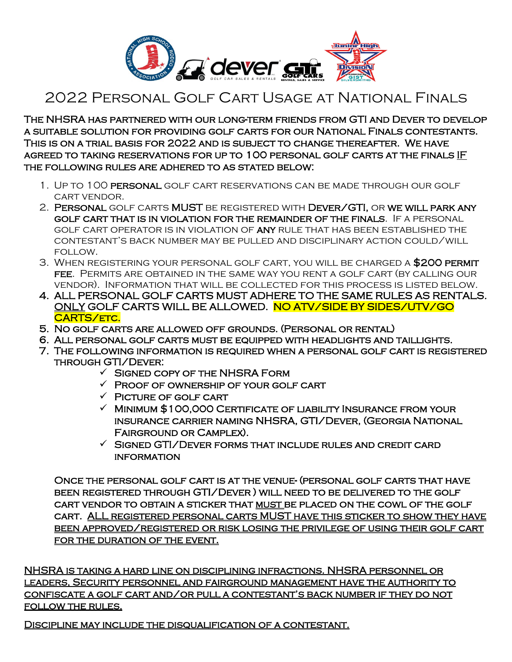

## 2022 Personal Golf Cart Usage at National Finals

The NHSRA has partnered with our long-term friends from GTI and Dever to develop a suitable solution for providing golf carts for our National Finals contestants. This is on a trial basis for 2022 and is subject to change thereafter. We have agreed to taking reservations for up to 100 personal golf carts at the finals IF the following rules are adhered to as stated below:

- 1. Up to 100 personal golf cart reservations can be made through our golf cart vendor.
- 2. Personal golf carts MUST be registered with Dever/GTI, or we will park any golf cart that is in violation for the remainder of the finals. If a personal golf cart operator is in violation of any rule that has been established the contestant's back number may be pulled and disciplinary action could/will follow.
- 3. When registering your personal golf cart, you will be charged a \$200 permit fee. Permits are obtained in the same way you rent a golf cart (by calling our vendor). Information that will be collected for this process is listed below.
- 4. ALL PERSONAL GOLF CARTS MUST ADHERE TO THE SAME RULES AS RENTALS. ONLY GOLF CARTS WILL BE ALLOWED. NO ATV/SIDE BY SIDES/UTV/GO CARTS/ETC.
- 5. No golf carts are allowed off grounds. (Personal or rental)
- 6. All personal golf carts must be equipped with headlights and taillights.
- 7. The following information is required when a personal golf cart is registered through GTI/Dever:
	- $\checkmark$  Signed copy of the NHSRA Form
	- $\checkmark$  Proof of ownership of your golf cart
	- $\checkmark$  PICTURE OF GOLF CART
	- $\checkmark$  Minimum \$100,000 CERTIFICATE OF LIABILITY INSURANCE FROM YOUR insurance carrier naming NHSRA, GTI/Dever, (Georgia National Fairground or Camplex).
	- $\checkmark$  SIGNED GTI/DEVER FORMS THAT INCLUDE RULES AND CREDIT CARD **INFORMATION**

Once the personal golf cart is at the venue- (personal golf carts that have been registered through GTI/Dever ) will need to be delivered to the golf cart vendor to obtain a sticker that must be placed on the cowl of the golf cart. ALL registered personal carts MUST have this sticker to show they have been approved/registered or risk losing the privilege of using their golf cart for the duration of the event.

NHSRA is taking a hard line on disciplining infractions. NHSRA personnel or leaders, Security personnel and fairground management have the authority to confiscate a golf cart and/or pull a contestant's back number if they do not follow the rules.

Discipline may include the disqualification of a contestant.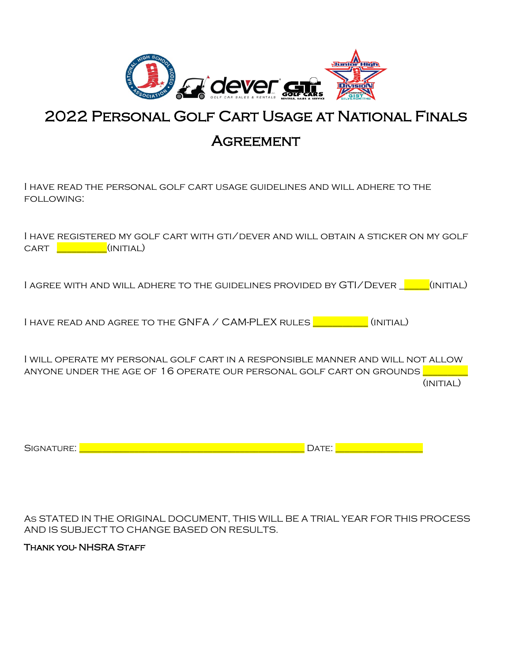

## 2022 Personal Golf Cart Usage at National Finals

## **AGREEMENT**

I have read the personal golf cart usage guidelines and will adhere to the following:

|      |                            | I HAVE REGISTERED MY GOLF CART WITH GTI/DEVER AND WILL OBTAIN A STICKER ON MY GOLF |  |
|------|----------------------------|------------------------------------------------------------------------------------|--|
| CART | <u>(INITIAL) (INITIAL)</u> |                                                                                    |  |

I AGREE WITH AND WILL ADHERE TO THE GUIDELINES PROVIDED BY GTI/DEVER **THE GUITTIAL**)

I HAVE READ AND AGREE TO THE GNFA / CAM-PLEX RULES  $\begin{bmatrix} \bullet & \bullet & \bullet \\ \bullet & \bullet & \bullet \end{bmatrix}$  (INITIAL)

I will operate my personal golf cart in a responsible manner and will not allow anyone under the AGE OF 16 OPERATE OUR PERSONAL GOLF CART ON GROUNDS  $(INITAL)$ 

| -<br>-<br><br>_______ | .<br>_ _ _ _ _ _ |
|-----------------------|------------------|
|-----------------------|------------------|

As STATED IN THE ORIGINAL DOCUMENT, THIS WILL BE A TRIAL YEAR FOR THIS PROCESS AND IS SUBJECT TO CHANGE BASED ON RESULTS.

## Thank you- NHSRA Staff